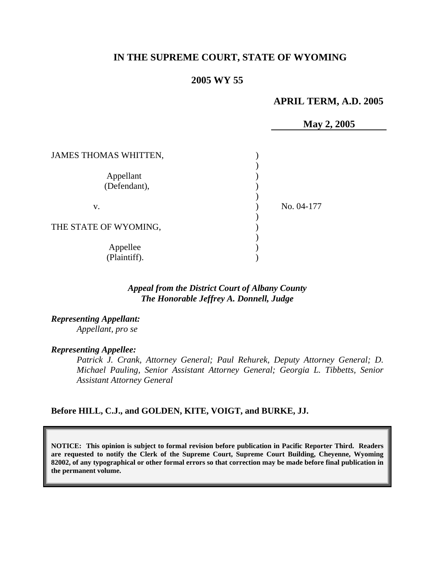# **IN THE SUPREME COURT, STATE OF WYOMING**

## **2005 WY 55**

# **APRIL TERM, A.D. 2005**

**May 2, 2005** 

| JAMES THOMAS WHITTEN,     |            |
|---------------------------|------------|
| Appellant<br>(Defendant), |            |
| v.                        | No. 04-177 |
| THE STATE OF WYOMING,     |            |
| Appellee<br>(Plaintiff).  |            |

## *Appeal from the District Court of Albany County The Honorable Jeffrey A. Donnell, Judge*

*Representing Appellant: Appellant, pro se* 

#### *Representing Appellee:*

*Patrick J. Crank, Attorney General; Paul Rehurek, Deputy Attorney General; D. Michael Pauling, Senior Assistant Attorney General; Georgia L. Tibbetts, Senior Assistant Attorney General* 

#### **Before HILL, C.J., and GOLDEN, KITE, VOIGT, and BURKE, JJ.**

**NOTICE: This opinion is subject to formal revision before publication in Pacific Reporter Third. Readers are requested to notify the Clerk of the Supreme Court, Supreme Court Building, Cheyenne, Wyoming 82002, of any typographical or other formal errors so that correction may be made before final publication in the permanent volume.**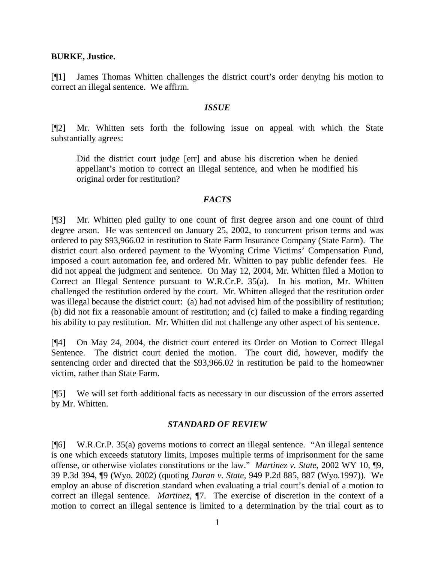## **BURKE, Justice.**

[¶1] James Thomas Whitten challenges the district court's order denying his motion to correct an illegal sentence. We affirm.

#### *ISSUE*

[¶2] Mr. Whitten sets forth the following issue on appeal with which the State substantially agrees:

Did the district court judge [err] and abuse his discretion when he denied appellant's motion to correct an illegal sentence, and when he modified his original order for restitution?

## *FACTS*

[¶3] Mr. Whitten pled guilty to one count of first degree arson and one count of third degree arson. He was sentenced on January 25, 2002, to concurrent prison terms and was ordered to pay \$93,966.02 in restitution to State Farm Insurance Company (State Farm). The district court also ordered payment to the Wyoming Crime Victims' Compensation Fund, imposed a court automation fee, and ordered Mr. Whitten to pay public defender fees. He did not appeal the judgment and sentence. On May 12, 2004, Mr. Whitten filed a Motion to Correct an Illegal Sentence pursuant to W.R.Cr.P. 35(a). In his motion, Mr. Whitten challenged the restitution ordered by the court. Mr. Whitten alleged that the restitution order was illegal because the district court: (a) had not advised him of the possibility of restitution; (b) did not fix a reasonable amount of restitution; and (c) failed to make a finding regarding his ability to pay restitution. Mr. Whitten did not challenge any other aspect of his sentence.

[¶4] On May 24, 2004, the district court entered its Order on Motion to Correct Illegal Sentence. The district court denied the motion. The court did, however, modify the sentencing order and directed that the \$93,966.02 in restitution be paid to the homeowner victim, rather than State Farm.

[¶5] We will set forth additional facts as necessary in our discussion of the errors asserted by Mr. Whitten.

## *STANDARD OF REVIEW*

[¶6] W.R.Cr.P. 35(a) governs motions to correct an illegal sentence. "An illegal sentence is one which exceeds statutory limits, imposes multiple terms of imprisonment for the same offense, or otherwise violates constitutions or the law." *Martinez v. State*, 2002 WY 10, ¶9, 39 P.3d 394, ¶9 (Wyo. 2002) (quoting *Duran v. State,* 949 P.2d 885, 887 (Wyo.1997)). We employ an abuse of discretion standard when evaluating a trial court's denial of a motion to correct an illegal sentence. *Martinez*, ¶7. The exercise of discretion in the context of a motion to correct an illegal sentence is limited to a determination by the trial court as to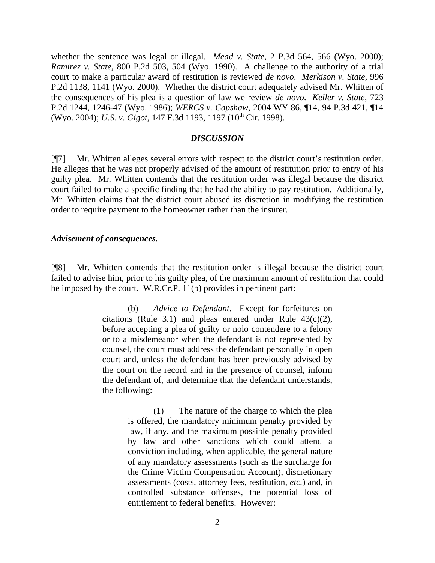whether the sentence was legal or illegal. *Mead v. State,* 2 P.3d 564, 566 (Wyo. 2000); *Ramirez v. State,* 800 P.2d 503, 504 (Wyo. 1990). A challenge to the authority of a trial court to make a particular award of restitution is reviewed *de novo*. *Merkison v. State,* 996 P.2d 1138, 1141 (Wyo. 2000). Whether the district court adequately advised Mr. Whitten of the consequences of his plea is a question of law we review *de novo*. *Keller v. State,* 723 P.2d 1244, 1246-47 (Wyo. 1986); *WERCS v. Capshaw*, 2004 WY 86, ¶14, 94 P.3d 421, ¶14 (Wyo. 2004); *U.S. v. Gigot*, 147 F.3d 1193, 1197 (10<sup>th</sup> Cir. 1998).

#### *DISCUSSION*

[¶7] Mr. Whitten alleges several errors with respect to the district court's restitution order. He alleges that he was not properly advised of the amount of restitution prior to entry of his guilty plea. Mr. Whitten contends that the restitution order was illegal because the district court failed to make a specific finding that he had the ability to pay restitution. Additionally, Mr. Whitten claims that the district court abused its discretion in modifying the restitution order to require payment to the homeowner rather than the insurer.

#### *Advisement of consequences.*

[¶8] Mr. Whitten contends that the restitution order is illegal because the district court failed to advise him, prior to his guilty plea, of the maximum amount of restitution that could be imposed by the court. W.R.Cr.P. 11(b) provides in pertinent part:

> (b) *Advice to Defendant*. Except for forfeitures on citations (Rule 3.1) and pleas entered under Rule  $43(c)(2)$ , before accepting a plea of guilty or nolo contendere to a felony or to a misdemeanor when the defendant is not represented by counsel, the court must address the defendant personally in open court and, unless the defendant has been previously advised by the court on the record and in the presence of counsel, inform the defendant of, and determine that the defendant understands, the following:

> > (1) The nature of the charge to which the plea is offered, the mandatory minimum penalty provided by law, if any, and the maximum possible penalty provided by law and other sanctions which could attend a conviction including, when applicable, the general nature of any mandatory assessments (such as the surcharge for the Crime Victim Compensation Account), discretionary assessments (costs, attorney fees, restitution, *etc.*) and, in controlled substance offenses, the potential loss of entitlement to federal benefits. However: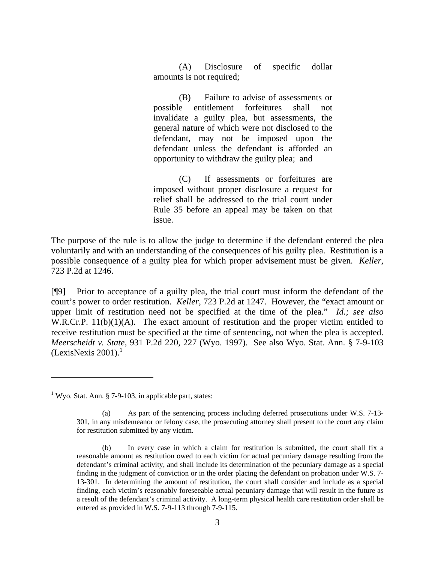(A) Disclosure of specific dollar amounts is not required;

(B) Failure to advise of assessments or possible entitlement forfeitures shall not invalidate a guilty plea, but assessments, the general nature of which were not disclosed to the defendant, may not be imposed upon the defendant unless the defendant is afforded an opportunity to withdraw the guilty plea; and

(C) If assessments or forfeitures are imposed without proper disclosure a request for relief shall be addressed to the trial court under Rule 35 before an appeal may be taken on that issue.

The purpose of the rule is to allow the judge to determine if the defendant entered the plea voluntarily and with an understanding of the consequences of his guilty plea. Restitution is a possible consequence of a guilty plea for which proper advisement must be given. *Keller*, 723 P.2d at 1246.

[¶9] Prior to acceptance of a guilty plea, the trial court must inform the defendant of the court's power to order restitution. *Keller*, 723 P.2d at 1247. However, the "exact amount or upper limit of restitution need not be specified at the time of the plea." *Id.; see also* W.R.Cr.P. 11(b)(1)(A). The exact amount of restitution and the proper victim entitled to receive restitution must be specified at the time of sentencing, not when the plea is accepted. *Meerscheidt v. State,* 931 P.2d 220, 227 (Wyo. 1997). See also Wyo. Stat. Ann. § 7-9-103  $(LexisNexis 2001).<sup>1</sup>$  $(LexisNexis 2001).<sup>1</sup>$  $(LexisNexis 2001).<sup>1</sup>$ 

l

<span id="page-3-0"></span><sup>&</sup>lt;sup>1</sup> Wyo. Stat. Ann. § 7-9-103, in applicable part, states:

<sup>(</sup>a) As part of the sentencing process including deferred prosecutions under W.S. 7-13- 301, in any misdemeanor or felony case, the prosecuting attorney shall present to the court any claim for restitution submitted by any victim.

<sup>(</sup>b) In every case in which a claim for restitution is submitted, the court shall fix a reasonable amount as restitution owed to each victim for actual pecuniary damage resulting from the defendant's criminal activity, and shall include its determination of the pecuniary damage as a special finding in the judgment of conviction or in the order placing the defendant on probation under W.S. 7- 13-301. In determining the amount of restitution, the court shall consider and include as a special finding, each victim's reasonably foreseeable actual pecuniary damage that will result in the future as a result of the defendant's criminal activity. A long-term physical health care restitution order shall be entered as provided in W.S. 7-9-113 through 7-9-115.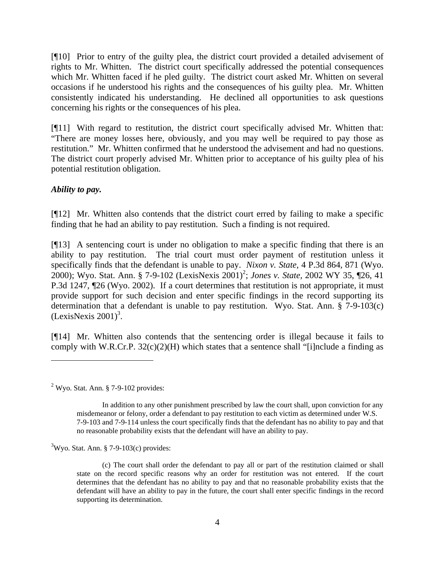[¶10] Prior to entry of the guilty plea, the district court provided a detailed advisement of rights to Mr. Whitten. The district court specifically addressed the potential consequences which Mr. Whitten faced if he pled guilty. The district court asked Mr. Whitten on several occasions if he understood his rights and the consequences of his guilty plea. Mr. Whitten consistently indicated his understanding. He declined all opportunities to ask questions concerning his rights or the consequences of his plea.

[¶11] With regard to restitution, the district court specifically advised Mr. Whitten that: "There are money losses here, obviously, and you may well be required to pay those as restitution." Mr. Whitten confirmed that he understood the advisement and had no questions. The district court properly advised Mr. Whitten prior to acceptance of his guilty plea of his potential restitution obligation.

# *Ability to pay.*

l

[¶12] Mr. Whitten also contends that the district court erred by failing to make a specific finding that he had an ability to pay restitution. Such a finding is not required.

[¶13] A sentencing court is under no obligation to make a specific finding that there is an ability to pay restitution. The trial court must order payment of restitution unless it specifically finds that the defendant is unable to pay. *Nixon v. State,* 4 P.3d 864, 871 (Wyo. [2](#page-4-0)000); Wyo. Stat. Ann. § 7-9-102 (LexisNexis 2001)<sup>2</sup>; *Jones v. State*, 2002 WY 35, ¶26, 41 P.3d 1247, ¶26 (Wyo. 2002). If a court determines that restitution is not appropriate, it must provide support for such decision and enter specific findings in the record supporting its determination that a defendant is unable to pay restitution. Wyo. Stat. Ann. § 7-9-103(c)  $(LexisNexis 2001)^3$  $(LexisNexis 2001)^3$ .

[¶14] Mr. Whitten also contends that the sentencing order is illegal because it fails to comply with W.R.Cr.P.  $32(c)(2)(H)$  which states that a sentence shall "[i]nclude a finding as

<span id="page-4-0"></span> $2$  Wyo. Stat. Ann. § 7-9-102 provides:

In addition to any other punishment prescribed by law the court shall, upon conviction for any misdemeanor or felony, order a defendant to pay restitution to each victim as determined under W.S. 7-9-103 and 7-9-114 unless the court specifically finds that the defendant has no ability to pay and that no reasonable probability exists that the defendant will have an ability to pay.

<span id="page-4-1"></span> $3$ Wyo. Stat. Ann. § 7-9-103(c) provides:

<sup>(</sup>c) The court shall order the defendant to pay all or part of the restitution claimed or shall state on the record specific reasons why an order for restitution was not entered. If the court determines that the defendant has no ability to pay and that no reasonable probability exists that the defendant will have an ability to pay in the future, the court shall enter specific findings in the record supporting its determination.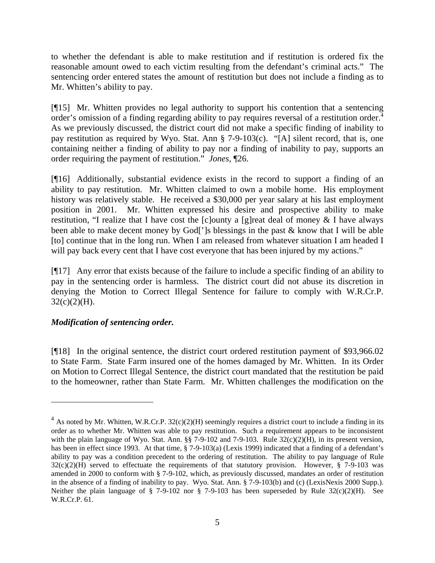to whether the defendant is able to make restitution and if restitution is ordered fix the reasonable amount owed to each victim resulting from the defendant's criminal acts." The sentencing order entered states the amount of restitution but does not include a finding as to Mr. Whitten's ability to pay.

[¶15] Mr. Whitten provides no legal authority to support his contention that a sentencing order's omission of a finding regarding ability to pay requires reversal of a restitution order.<sup>[4](#page-5-0)</sup> As we previously discussed, the district court did not make a specific finding of inability to pay restitution as required by Wyo. Stat. Ann § 7-9-103(c). "[A] silent record, that is, one containing neither a finding of ability to pay nor a finding of inability to pay, supports an order requiring the payment of restitution." *Jones,* ¶26.

[¶16] Additionally, substantial evidence exists in the record to support a finding of an ability to pay restitution. Mr. Whitten claimed to own a mobile home. His employment history was relatively stable. He received a \$30,000 per year salary at his last employment position in 2001. Mr. Whitten expressed his desire and prospective ability to make restitution, "I realize that I have cost the [c]ounty a [g]reat deal of money & I have always been able to make decent money by God<sup>['</sup>]s blessings in the past & know that I will be able [to] continue that in the long run. When I am released from whatever situation I am headed I will pay back every cent that I have cost everyone that has been injured by my actions."

[¶17] Any error that exists because of the failure to include a specific finding of an ability to pay in the sentencing order is harmless. The district court did not abuse its discretion in denying the Motion to Correct Illegal Sentence for failure to comply with W.R.Cr.P.  $32(c)(2)(H)$ .

# *Modification of sentencing order.*

 $\overline{a}$ 

[¶18] In the original sentence, the district court ordered restitution payment of \$93,966.02 to State Farm. State Farm insured one of the homes damaged by Mr. Whitten. In its Order on Motion to Correct Illegal Sentence, the district court mandated that the restitution be paid to the homeowner, rather than State Farm. Mr. Whitten challenges the modification on the

<span id="page-5-0"></span> $^{4}$  As noted by Mr. Whitten, W.R.Cr.P. 32(c)(2)(H) seemingly requires a district court to include a finding in its order as to whether Mr. Whitten was able to pay restitution. Such a requirement appears to be inconsistent with the plain language of Wyo. Stat. Ann. §§ 7-9-102 and 7-9-103. Rule 32(c)(2)(H), in its present version, has been in effect since 1993. At that time, § 7-9-103(a) (Lexis 1999) indicated that a finding of a defendant's ability to pay was a condition precedent to the ordering of restitution. The ability to pay language of Rule  $32(c)(2)(H)$  served to effectuate the requirements of that statutory provision. However, § 7-9-103 was amended in 2000 to conform with § 7-9-102, which, as previously discussed, mandates an order of restitution in the absence of a finding of inability to pay. Wyo. Stat. Ann. § 7-9-103(b) and (c) (LexisNexis 2000 Supp.). Neither the plain language of § 7-9-102 nor § 7-9-103 has been superseded by Rule  $32(c)(2)(H)$ . See W.R.Cr.P. 61.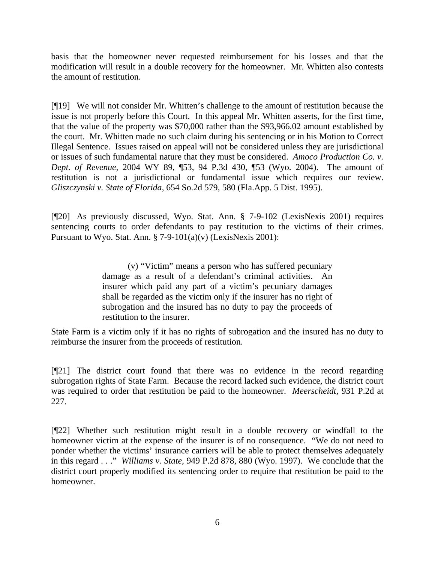basis that the homeowner never requested reimbursement for his losses and that the modification will result in a double recovery for the homeowner. Mr. Whitten also contests the amount of restitution.

[¶19] We will not consider Mr. Whitten's challenge to the amount of restitution because the issue is not properly before this Court. In this appeal Mr. Whitten asserts, for the first time, that the value of the property was \$70,000 rather than the \$93,966.02 amount established by the court. Mr. Whitten made no such claim during his sentencing or in his Motion to Correct Illegal Sentence. Issues raised on appeal will not be considered unless they are jurisdictional or issues of such fundamental nature that they must be considered. *Amoco Production Co. v. Dept. of Revenue,* 2004 WY 89, ¶53, 94 P.3d 430, ¶53 (Wyo. 2004). The amount of restitution is not a jurisdictional or fundamental issue which requires our review. *Gliszczynski v. State of Florida,* 654 So.2d 579, 580 (Fla.App. 5 Dist. 1995).

[¶20] As previously discussed, Wyo. Stat. Ann. § 7-9-102 (LexisNexis 2001) requires sentencing courts to order defendants to pay restitution to the victims of their crimes. Pursuant to Wyo. Stat. Ann.  $\S$  7-9-101(a)(v) (LexisNexis 2001):

> (v) "Victim" means a person who has suffered pecuniary damage as a result of a defendant's criminal activities. An insurer which paid any part of a victim's pecuniary damages shall be regarded as the victim only if the insurer has no right of subrogation and the insured has no duty to pay the proceeds of restitution to the insurer.

State Farm is a victim only if it has no rights of subrogation and the insured has no duty to reimburse the insurer from the proceeds of restitution.

[¶21] The district court found that there was no evidence in the record regarding subrogation rights of State Farm. Because the record lacked such evidence, the district court was required to order that restitution be paid to the homeowner. *Meerscheidt,* 931 P.2d at 227.

[¶22] Whether such restitution might result in a double recovery or windfall to the homeowner victim at the expense of the insurer is of no consequence. "We do not need to ponder whether the victims' insurance carriers will be able to protect themselves adequately in this regard . . ." *Williams v. State,* 949 P.2d 878, 880 (Wyo. 1997). We conclude that the district court properly modified its sentencing order to require that restitution be paid to the homeowner.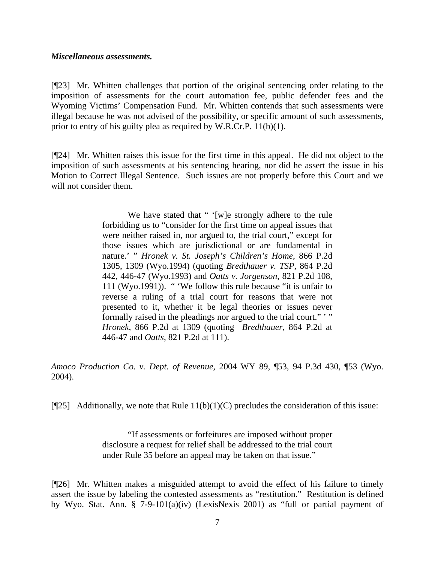#### *Miscellaneous assessments.*

[¶23] Mr. Whitten challenges that portion of the original sentencing order relating to the imposition of assessments for the court automation fee, public defender fees and the Wyoming Victims' Compensation Fund. Mr. Whitten contends that such assessments were illegal because he was not advised of the possibility, or specific amount of such assessments, prior to entry of his guilty plea as required by W.R.Cr.P. 11(b)(1).

[¶24] Mr. Whitten raises this issue for the first time in this appeal. He did not object to the imposition of such assessments at his sentencing hearing, nor did he assert the issue in his Motion to Correct Illegal Sentence. Such issues are not properly before this Court and we will not consider them.

> We have stated that " '[w]e strongly adhere to the rule forbidding us to "consider for the first time on appeal issues that were neither raised in, nor argued to, the trial court," except for those issues which are jurisdictional or are fundamental in nature.' " *Hronek v. St. Joseph's Children's Home*, 866 P.2d 1305, 1309 (Wyo.1994) (quoting *Bredthauer v. TSP*, 864 P.2d 442, 446-47 (Wyo.1993) and *Oatts v. Jorgenson*, 821 P.2d 108, 111 (Wyo.1991)). " 'We follow this rule because "it is unfair to reverse a ruling of a trial court for reasons that were not presented to it, whether it be legal theories or issues never formally raised in the pleadings nor argued to the trial court." " *Hronek*, 866 P.2d at 1309 (quoting *Bredthauer*, 864 P.2d at 446-47 and *Oatts*, 821 P.2d at 111).

*Amoco Production Co. v. Dept. of Revenue,* 2004 WY 89, ¶53, 94 P.3d 430, ¶53 (Wyo. 2004).

[ $[25]$  Additionally, we note that Rule 11(b)(1)(C) precludes the consideration of this issue:

"If assessments or forfeitures are imposed without proper disclosure a request for relief shall be addressed to the trial court under Rule 35 before an appeal may be taken on that issue."

[¶26] Mr. Whitten makes a misguided attempt to avoid the effect of his failure to timely assert the issue by labeling the contested assessments as "restitution." Restitution is defined by Wyo. Stat. Ann. § 7-9-101(a)(iv) (LexisNexis 2001) as "full or partial payment of